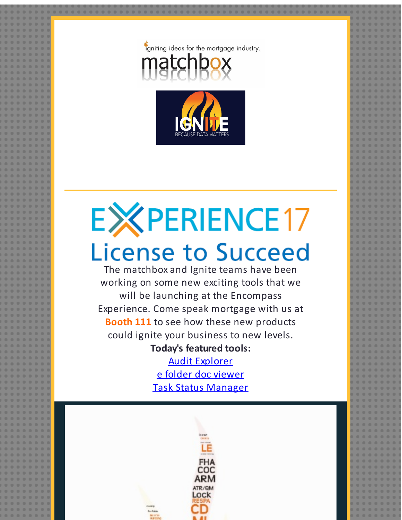



## **EXPERIENCE17 License to Succeed**

The matchbox and Ignite teams have been working on some new exciting tools that we will be launching at the Encompass Experience. Come speak mortgage with us at **Booth 111** to see how these new products could ignite your business to new levels.

## **Today's featured tools:**

Audit [Explorer](http://r20.rs6.net/tn.jsp?f=0017mpXhh8kh5bdxRtQqlp_JM3ayIPPhJZs3H6y9o8n5cuAxpkR7Y-H5Y5iSxDXPKkJm3RmI_QeoWunStSD_VsmcaBjZLfVnxVt5uuGYu9925QJi4UYlaLV7QMpvbsjfmHgG7jTNJZLDgVB5IGz8Tk7PYZg20xETdkzUkPSE6JUP2wnDEUX62R_4kaQgTzPVBUtLFj7tBIy1Lxhi_NROh4zc3DGMK9pY6pS9H1XjTxM9TSs6FMZq4QrsU1LVymxdq43&c=&ch=) e folder doc [viewer](http://r20.rs6.net/tn.jsp?f=0017mpXhh8kh5bdxRtQqlp_JM3ayIPPhJZs3H6y9o8n5cuAxpkR7Y-H5Y5iSxDXPKkJCN5Us7ScgMNArqFyL-31-IKD4pU4lrU1r8jYRcdzwPEy2RdFQd52tOT89hySJxwZbCQNQ3cJxQiw_A_jAWOUJrG0GDmTlAw1uShlsc3Ual-8TWUxQ-NJWn2OfntK1e1gzGuhsMeV3EiCwi7r4fOey6H1D5WiYKhHCr8MmAlEB4iRuAMtTFOj04ZjD3STYWYa&c=&ch=) Task Status [Manager](http://r20.rs6.net/tn.jsp?f=0017mpXhh8kh5bdxRtQqlp_JM3ayIPPhJZs3H6y9o8n5cuAxpkR7Y-H5Y5iSxDXPKkJdINMYb_vQsZmcBAIALv_ezaX7k2zM9RO2R1MeXXA7uinqlyeiHoeOa97Od4Ocl4ePcYAUo6ZO6BVsICbGrX5KCf9gKvE1Iz3cG3yuDS2TgMILajPjUGdIXHMDx7mw4U5SyFka1xSyE-03CiirJsc-TQdUthy_vkgQurdyhPKkXMT_llGy3qKAQTtnLo3DGMN&c=&ch=)

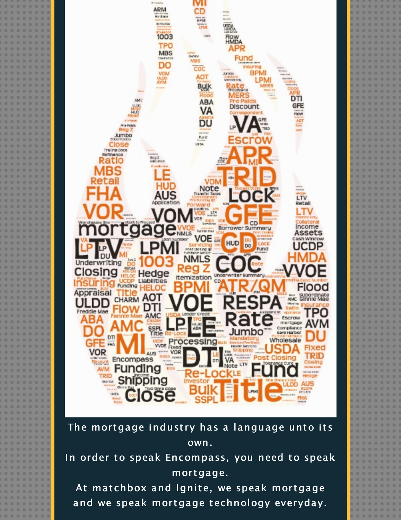

## The mortgage industry has a language unto its own.

In order to speak Encompass, you need to speak mortgage.

At matchbox and Ignite, we speak mortgage and we speak mortgage technology everyday.